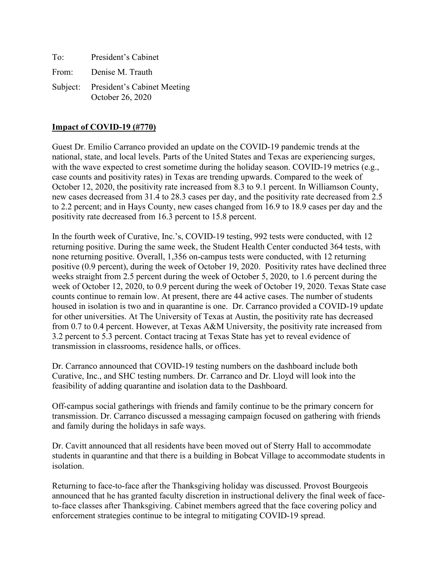| To: | President's Cabinet                                      |
|-----|----------------------------------------------------------|
|     | From: Denise M. Trauth                                   |
|     | Subject: President's Cabinet Meeting<br>October 26, 2020 |

## **Impact of COVID-19 (#770)**

Guest Dr. Emilio Carranco provided an update on the COVID-19 pandemic trends at the national, state, and local levels. Parts of the United States and Texas are experiencing surges, with the wave expected to crest sometime during the holiday season. COVID-19 metrics (e.g., case counts and positivity rates) in Texas are trending upwards. Compared to the week of October 12, 2020, the positivity rate increased from 8.3 to 9.1 percent. In Williamson County, new cases decreased from 31.4 to 28.3 cases per day, and the positivity rate decreased from 2.5 to 2.2 percent; and in Hays County, new cases changed from 16.9 to 18.9 cases per day and the positivity rate decreased from 16.3 percent to 15.8 percent.

In the fourth week of Curative, Inc.'s, COVID-19 testing, 992 tests were conducted, with 12 returning positive. During the same week, the Student Health Center conducted 364 tests, with none returning positive. Overall, 1,356 on-campus tests were conducted, with 12 returning positive (0.9 percent), during the week of October 19, 2020. Positivity rates have declined three weeks straight from 2.5 percent during the week of October 5, 2020, to 1.6 percent during the week of October 12, 2020, to 0.9 percent during the week of October 19, 2020. Texas State case counts continue to remain low. At present, there are 44 active cases. The number of students housed in isolation is two and in quarantine is one. Dr. Carranco provided a COVID-19 update for other universities. At The University of Texas at Austin, the positivity rate has decreased from 0.7 to 0.4 percent. However, at Texas A&M University, the positivity rate increased from 3.2 percent to 5.3 percent. Contact tracing at Texas State has yet to reveal evidence of transmission in classrooms, residence halls, or offices.

Dr. Carranco announced that COVID-19 testing numbers on the dashboard include both Curative, Inc., and SHC testing numbers. Dr. Carranco and Dr. Lloyd will look into the feasibility of adding quarantine and isolation data to the Dashboard.

Off-campus social gatherings with friends and family continue to be the primary concern for transmission. Dr. Carranco discussed a messaging campaign focused on gathering with friends and family during the holidays in safe ways.

Dr. Cavitt announced that all residents have been moved out of Sterry Hall to accommodate students in quarantine and that there is a building in Bobcat Village to accommodate students in isolation.

Returning to face-to-face after the Thanksgiving holiday was discussed. Provost Bourgeois announced that he has granted faculty discretion in instructional delivery the final week of faceto-face classes after Thanksgiving. Cabinet members agreed that the face covering policy and enforcement strategies continue to be integral to mitigating COVID-19 spread.